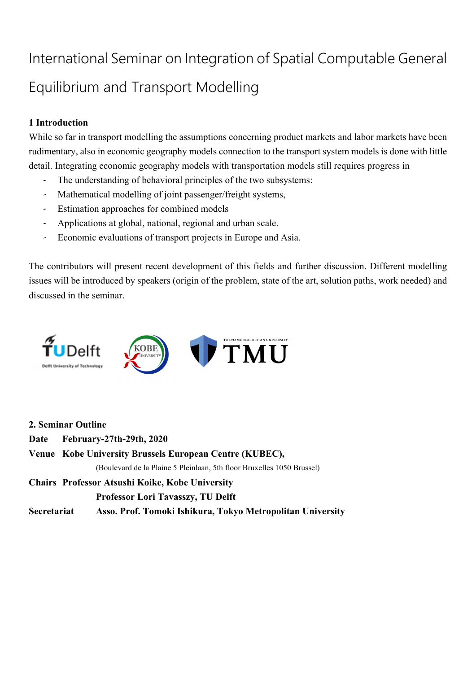# International Seminar on Integration of Spatial Computable General Equilibrium and Transport Modelling

## **1 Introduction**

While so far in transport modelling the assumptions concerning product markets and labor markets have been rudimentary, also in economic geography models connection to the transport system models is done with little detail. Integrating economic geography models with transportation models still requires progress in

- The understanding of behavioral principles of the two subsystems:
- Mathematical modelling of joint passenger/freight systems,
- Estimation approaches for combined models
- Applications at global, national, regional and urban scale.
- Economic evaluations of transport projects in Europe and Asia.

The contributors will present recent development of this fields and further discussion. Different modelling issues will be introduced by speakers (origin of the problem, state of the art, solution paths, work needed) and discussed in the seminar.



|             | 2. Seminar Outline                                                     |
|-------------|------------------------------------------------------------------------|
| Date        | February-27th-29th, 2020                                               |
|             | Venue Kobe University Brussels European Centre (KUBEC),                |
|             | (Boulevard de la Plaine 5 Pleinlaan, 5th floor Bruxelles 1050 Brussel) |
|             | Chairs Professor Atsushi Koike, Kobe University                        |
|             | <b>Professor Lori Tavasszy, TU Delft</b>                               |
| Secretariat | Asso. Prof. Tomoki Ishikura, Tokyo Metropolitan University             |